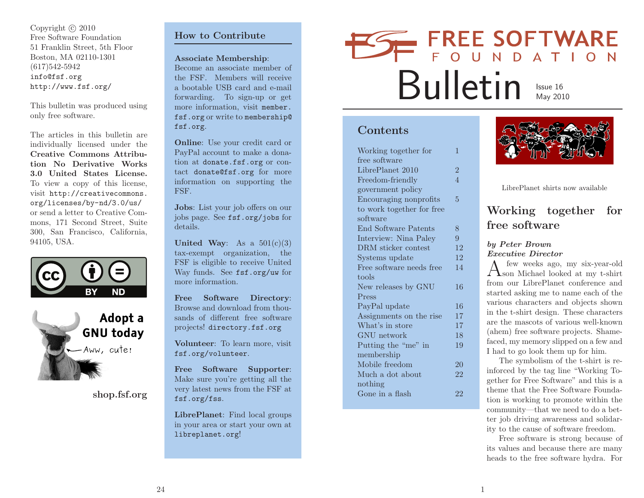Copyright © 2010 Free Software Foundation <sup>51</sup> Franklin Street, 5th FloorBoston, MA 02110-1301(617)542-5942 info@fsf.orghttp://www.fsf.org/

This bulletin was produced usingonly free software.

The articles in this bulletin are individually licensed under the Creative Commons Attribution No Derivative Works 3.0 United States License. To view <sup>a</sup> copy of this license, visit http://creativecommons.org/licenses/by-nd/3.0/us/ or send <sup>a</sup> letter to Creative Commons, <sup>171</sup> Second Street, Suite 300, San Francisco, California, 94105, USA.





shop.fsf.org

### How to Contribute

Associate Membership:

Become an associate member of the FSF. Members will receive <sup>a</sup> bootable USB card and e-mail forwarding. To sign-up or get more information, visit member. fsf.org or write to membership@ fsf.org.

Online: Use your credit card or PayPal account to make <sup>a</sup> donation at donate.fsf.org or contact donate@fsf.org for more information on supporting theFSF.

Jobs: List your job offers on our jobs page. See fsf.org/jobs for details.

United Way: As a  $501(c)(3)$  tax-exempt organization, the FSF is eligible to receive United Way funds. See fsf.org/uw for more information.

Free Software Directory: Browse and download from thousands of different free softwareprojects! directory.fsf.org

Volunteer: To learn more, visitfsf.org/volunteer.

Free Software Supporter: Make sure you're getting all the very latest news from the FSF atfsf.org/fss.

LibrePlanet: Find local groups in your area or start your own atlibreplanet.org!

# FREE SOFTWARE Bulletin**ISSUE 16**<br>May 2010

### Contents

| Working together for      | 1              |
|---------------------------|----------------|
| free software             |                |
| LibrePlanet 2010          | $\overline{2}$ |
| Freedom-friendly          | $\overline{4}$ |
| government policy         |                |
| Encouraging nonprofits    | 5              |
| to work together for free |                |
| software                  |                |
| End Software Patents      | 8              |
| Interview: Nina Paley     | 9              |
| DRM sticker contest       | 12             |
| Systems update            | 12             |
| Free software needs free  | 14             |
| tools                     |                |
| New releases by GNU       | 16             |
| Press                     |                |
| PayPal update             | 16             |
| Assignments on the rise   | 17             |
| What's in store           | 17             |
| GNU network               | 18             |
| Putting the "me" in       | 19             |
| membership                |                |
| Mobile freedom            | 20             |
| Much a dot about          | 22             |
| nothing                   |                |
| Gone in a flash           | 22             |
|                           |                |



LibrePlanet shirts now available

# Working together forfree software

### by Peter BrownExecutive Director

few weeks ago, my six-year-old  $A$  few weeks ago, my six-year-old<br>from our LibrePlanet conference and<br> $\frac{1}{2}$ from our LibrePlanet conference and started asking me to name each of the various characters and objects shown in the t-shirt design. These characters are the mascots of various well-known (ahem) free software projects. Shamefaced, my memory slipped on <sup>a</sup> few and<sup>I</sup> had to go look them up for him.

The symbolism of the t-shirt is reinforced by the tag line "Working Together for Free Software" and this is <sup>a</sup> theme that the Free Software Foundation is working to promote within the community—that we need to do <sup>a</sup> better job driving awareness and solidarity to the cause of software freedom.

Free software is strong because of its values and because there are manyheads to the free software hydra. For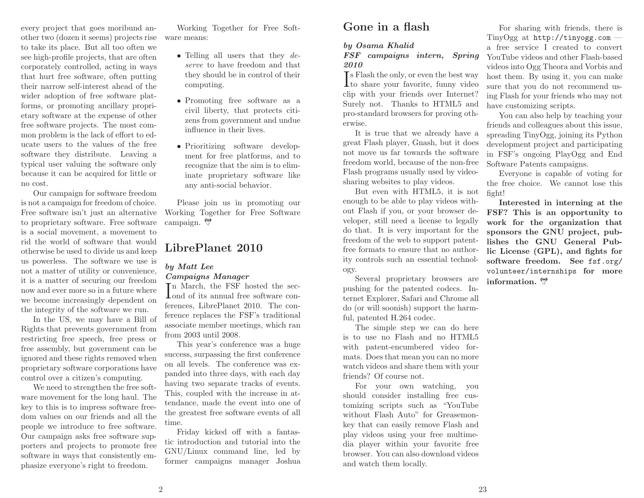every project that goes moribund another two (dozen it seems) projects rise to take its <sup>p</sup>lace. But all too often we see high-profile projects, that are often corporately controlled, acting in ways that hurt free software, often putting their narrow self-interest ahead of the wider adoption of free software <sup>p</sup>latforms, or promoting ancillary proprietary software at the expense of other free software projects. The most common problem is the lack of effort to educate users to the values of the free software they distribute. Leaving <sup>a</sup> typical user valuing the software only because it can be acquired for little orno cost.

Our campaign for software freedom is not <sup>a</sup> campaign for freedom of choice. Free software isn't just an alternative to proprietary software. Free software is <sup>a</sup> social movement, <sup>a</sup> movement to rid the world of software that would otherwise be used to divide us and keep us powerless. The software we use is not <sup>a</sup> matter of utility or convenience, it is <sup>a</sup> matter of securing our freedom now and ever more so in <sup>a</sup> future where we become increasingly dependent onthe integrity of the software we run.

In the US, we may have <sup>a</sup> Bill of Rights that prevents government from restricting free speech, free press or free assembly, but government can be ignored and these rights removed when proprietary software corporations havecontrol over <sup>a</sup> citizen's computing.

We need to strengthen the free software movement for the long haul. The key to this is to impress software freedom values on our friends and all the people we introduce to free software. Our campaign asks free software supporters and projects to promote free software in ways that consistently em<sup>p</sup>hasize everyone's right to freedom.

Working Together for Free Software means:

- Telling all users that they *deserve* to have freedom and that they should be in control of theircomputing.
- Promoting free software as <sup>a</sup> civil liberty, that protects citizens from government and undueinfluence in their lives.
- Prioritizing software development for free <sup>p</sup>latforms, and to recognize that the aim is to eliminate proprietary software likeany anti-social behavior.

Please join us in promoting our Working Together for Free Softwarecampaign.

### LibrePlanet <sup>2010</sup>

# by Matt Lee

Campaigns Manager

In March, the FSF hosted the sec-**L**ond of its annual free software conferences, LibrePlanet 2010. The conference replaces the FSF's traditional associate member meetings, which ranfrom <sup>2003</sup> until 2008.

This year's conference was <sup>a</sup> huge success, surpassing the first conference on all levels. The conference was expanded into three days, with each day having two separate tracks of events. This, coupled with the increase in attendance, made the event into one of the greatest free software events of all time.

Friday kicked off with <sup>a</sup> fantastic introduction and tutorial into the GNU/Linux command line, led byformer campaigns manager Joshua

# Gone in <sup>a</sup> flash

### by Osama Khalid

#### FSF campaigns intern, Spring2010

**T**s Flash the only, or even the best way  $\mathbf I$  to share your favorite, funny video clip with your friends over Internet? Surely not. Thanks to HTML5 and pro-standard browsers for proving otherwise.

It is true that we already have <sup>a</sup> great Flash <sup>p</sup>layer, Gnash, but it does not move us far towards the software freedom world, because of the non-free Flash programs usually used by videosharing websites to <sup>p</sup>lay videos.

But even with HTML5, it is not enoug<sup>h</sup> to be able to <sup>p</sup>lay videos without Flash if you, or your browser developer, still need <sup>a</sup> license to legally do that. It is very important for the freedom of the web to support patentfree formats to ensure that no authority controls such an essential technology.

Several proprietary browsers are pushing for the patented codecs. Internet Explorer, Safari and Chrome all do (or will soonish) support the harmful, patented H.264 codec.

The simple step we can do here is to use no Flash and no HTML5 with patent-encumbered video formats. Does that mean you can no more watch videos and share them with yourfriends? Of course not.

For your own watching, you should consider installing free customizing scripts such as "YouTube without Flash Auto" for Greasemonkey that can easily remove Flash and <sup>p</sup>lay videos using your free multimedia <sup>p</sup>layer within your favorite free browser. You can also download videosand watch them locally.

For sharing with friends, there is TinyOgg at http://tinyogg.com— <sup>a</sup> free service <sup>I</sup> created to convert YouTube videos and other Flash-based videos into Ogg Theora and Vorbis and host them. By using it, you can make sure that you do not recommend using Flash for your friends who may nothave customizing scripts.

You can also help by teaching your friends and colleagues about this issue, spreading TinyOgg, joining its Python development project and participating in FSF's ongoing PlayOgg and EndSoftware Patents campaigns.

Everyone is capable of voting for the free choice. We cannot lose thisfight!

 Interested in interning at the FSF? This is an opportunity to work for the organization that sponsors the GNU project, publishes the GNU General Public License (GPL), and fights for software freedom. See fsf.org/ volunteer/internships for moreinformation.  $\mathcal{D}$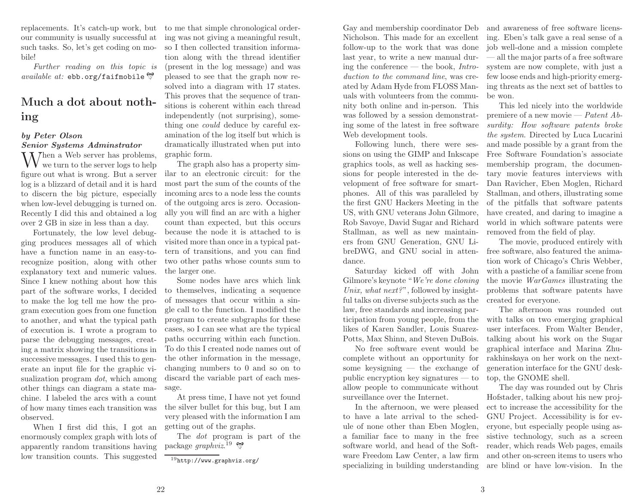replacements. It's catch-up work, but our community is usually successful at such tasks. So, let's get coding on mobile!

*Further reading on this topic is* $available\ at:\ e\texttt{bb.org/faifmobile}\ \mathbb{S}^2$ 

# Much <sup>a</sup> dot about nothing

### by Peter OlsonSenior Systems Adminstrator

 $\rm W$ hen a Web server has problems, we turn to the server logs to help figure out what is wrong. But <sup>a</sup> server log is <sup>a</sup> blizzard of detail and it is hard to discern the big <sup>p</sup>icture, especially when low-level debugging is turned on. Recently <sup>I</sup> did this and obtained <sup>a</sup> logover <sup>2</sup> GB in size in less than <sup>a</sup> day.

Fortunately, the low level debug<sup>g</sup>ing produces messages all of which have <sup>a</sup> function name in an easy-torecognize position, along with other explanatory text and numeric values. Since <sup>I</sup> knew nothing about how this part of the software works, <sup>I</sup> decided to make the log tell me how the program execution goes from one function to another, and what the typical path of execution is. <sup>I</sup> wrote <sup>a</sup> program to parse the debugging messages, creating <sup>a</sup> matrix showing the transitions in successive messages. <sup>I</sup> used this to generate an input file for the graphic visualization program *dot*, which among other things can diagram <sup>a</sup> state machine. <sup>I</sup> labeled the arcs with <sup>a</sup> count of how many times each transition wasobserved.

When <sup>I</sup> first did this, <sup>I</sup> got an enormously complex grap<sup>h</sup> with lots of apparently random transitions havinglow transition counts. This suggested

to me that simple chronological ordering was not <sup>g</sup>iving <sup>a</sup> meaningful result, so <sup>I</sup> then collected transition information along with the thread identifier (present in the log message) and was <sup>p</sup>leased to see that the grap<sup>h</sup> now resolved into <sup>a</sup> diagram with <sup>17</sup> states. This proves that the sequence of transitions is coherent within each thread independently (not surprising), something one *could* deduce by careful examination of the log itself but which is dramatically illustrated when put intographic form.

The grap<sup>h</sup> also has <sup>a</sup> property similar to an electronic circuit: for the most part the sum of the counts of the incoming arcs to <sup>a</sup> node less the counts of the outgoing arcs is zero. Occasionally you will find an arc with <sup>a</sup> higher count than expected, but this occurs because the node it is attached to is visited more than once in <sup>a</sup> typical pattern of transitions, and you can find two other paths whose counts sum tothe larger one.

Some nodes have arcs which link to themselves, indicating <sup>a</sup> sequence of messages that occur within <sup>a</sup> sin<sup>g</sup>le call to the function. <sup>I</sup> modified the program to create subgraphs for these cases, so <sup>I</sup> can see what are the typical paths occurring within each function. To do this <sup>I</sup> created node names out of the other information in the message, changing numbers to <sup>0</sup> and so on to discard the variable part of each message.

At press time, <sup>I</sup> have not yet found the silver bullet for this bug, but <sup>I</sup> am very <sup>p</sup>leased with the information <sup>I</sup> amgetting out of the graphs.

The *dot* program is part of the package *graphviz*.<sup>19</sup>

<sup>19</sup>http://www.graphviz.org/

Gay and membership coordinator Deb Nicholson. This made for an excellent follow-up to the work that was done last year, to write <sup>a</sup> new manual during the conference — the book, *Introduction to the command line*, was created by Adam Hyde from FLOSS Manuals with volunteers from the community both online and in-person. This was followed by <sup>a</sup> session demonstrating some of the latest in free softwareWeb development tools.

Following lunch, there were sessions on using the GIMP and Inkscape graphics tools, as well as hacking sessions for people interested in the development of free software for smart<sup>p</sup>hones. All of this was paralleled by the first GNU Hackers Meeting in the US, with GNU veterans John Gilmore, Rob Savoye, David Sugar and Richard Stallman, as well as new maintainers from GNU Generation, GNU LibreDWG, and GNU social in attendance.

Saturday kicked off with John Gilmore's keynote "*We're done cloning Unix, what next?*", followed by insightful talks on diverse subjects such as the law, free standards and increasing participation from young people, from the likes of Karen Sandler, Louis Suarez-Potts, Max Shinn, and Steven DuBois.

No free software event would be complete without an opportunity for some keysigning — the exchange of public encryption key signatures — to allow people to communicate withoutsurveillance over the Internet.

In the afternoon, we were <sup>p</sup>leased to have <sup>a</sup> late arrival to the schedule of none other than Eben Moglen, <sup>a</sup> familiar face to many in the free software world, and head of the Software Freedom Law Center, <sup>a</sup> law firmspecializing in building understanding

and awareness of free software licensing. Eben's talk gave <sup>a</sup> real sense of <sup>a</sup> job well-done and <sup>a</sup> mission complete — all the major parts of <sup>a</sup> free software system are now complete, with just <sup>a</sup> few loose ends and high-priority emerging threats as the next set of battles tobe won.

This led nicely into the worldwidepremiere of a new movie — *Patent Ab-*<br> *surditu:* How software natents broke *surdity: How software patents broke the system*. Directed by Luca Lucarini and made possible by <sup>a</sup> grant from the Free Software Foundation's associate membership program, the documentary movie features interviews with Dan Ravicher, Eben Moglen, Richard Stallman, and others, illustrating some of the <sup>p</sup>itfalls that software patents have created, and daring to imagine <sup>a</sup> world in which software patents wereremoved from the field of <sup>p</sup>lay.

The movie, produced entirely with free software, also featured the animation work of Chicago's Chris Webber, with <sup>a</sup> pastiche of <sup>a</sup> familiar scene from the movie *WarGames* illustrating the problems that software patents havecreated for everyone.

The afternoon was rounded out with talks on two emerging graphical user interfaces. From Walter Bender, talking about his work on the Sugar graphical interface and Marina Zhurakhinskaya on her work on the nextgeneration interface for the GNU desktop, the GNOME shell.

The day was rounded out by Chris Hofstader, talking about his new project to increase the accessibility for the GNU Project. Accessibility is for everyone, but especially people using assistive technology, such as <sup>a</sup> screen reader, which reads Web pages, emails and other on-screen items to users whoare blind or have low-vision. In the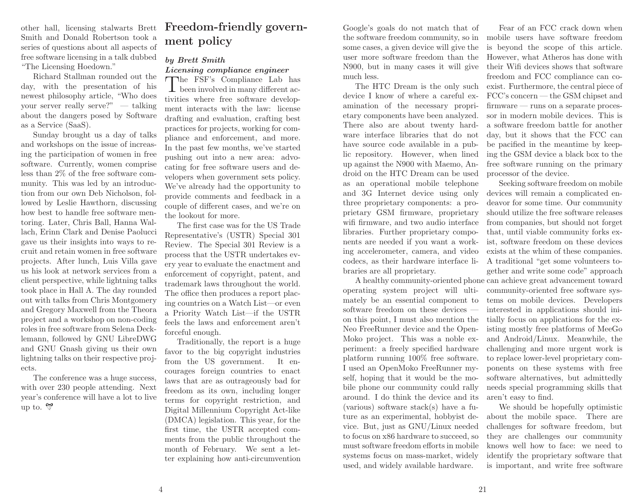other hall, licensing stalwarts Brett Smith and Donald Robertson took <sup>a</sup> series of questions about all aspects of free software licensing in <sup>a</sup> talk dubbed"The Licensing Hoedown."

 Richard Stallman rounded out the day, with the presentation of his newest <sup>p</sup>hilosophy article, "Who does your server really serve?" — talking about the dangers posed by Softwareas <sup>a</sup> Service (SaaS).

Sunday brought us <sup>a</sup> day of talks and workshops on the issue of increasing the participation of women in free software. Currently, women comprise less than 2% of the free software community. This was led by an introduction from our own Deb Nicholson, followed by Leslie Hawthorn, discussing how best to handle free software mentoring. Later, Chris Ball, Hanna Wallach, Erinn Clark and Denise Paolucci gave us their insights into ways to recruit and retain women in free software projects. After lunch, Luis Villa gave us his look at network services from <sup>a</sup> client perspective, while lightning talks took <sup>p</sup>lace in Hall A. The day rounded out with talks from Chris Montgomery and Gregory Maxwell from the Theora project and <sup>a</sup> workshop on non-coding roles in free software from Selena Decklemann, followed by GNU LibreDWG and GNU Gnash <sup>g</sup>iving us their own lightning talks on their respective projects.

 The conference was <sup>a</sup> huge success, with over <sup>230</sup> people attending. Next year's conference will have <sup>a</sup> lot to liveup to.  $\mathcal{D}$ 

# Freedom-friendly government policy

### by Brett SmithLicensing compliance engineer

The FSF's Compliance Lab has  $\perp$  been involved in many different activities where free software development interacts with the law: license drafting and evaluation, crafting best practices for projects, working for com<sup>p</sup>liance and enforcement, and more. In the past few months, we've started pushing out into <sup>a</sup> new area: advocating for free software users and developers when government sets policy. We've already had the opportunity to provide comments and feedback in <sup>a</sup> couple of different cases, and we're onthe lookout for more.

The first case was for the US Trade Representative's (USTR) Special <sup>301</sup> Review. The Special <sup>301</sup> Review is <sup>a</sup> process that the USTR undertakes every year to evaluate the enactment and enforcement of copyright, patent, and trademark laws throughout the world. The office then produces <sup>a</sup> report <sup>p</sup>lacing countries on <sup>a</sup> Watch List—or even <sup>a</sup> Priority Watch List—if the USTR feels the laws and enforcement aren'tforceful enough.

Traditionally, the report is <sup>a</sup> huge favor to the big copyright industries from the US government. It encourages foreign countries to enact laws that are as outrageously bad for freedom as its own, including longer terms for copyright restriction, and Digital Millennium Copyright Act-like (DMCA) legislation. This year, for the first time, the USTR accepted comments from the public throughout the month of February. We sent <sup>a</sup> letter explaining how anti-circumvention

Google's goals do not match that of some cases, <sup>a</sup> <sup>g</sup>iven device will <sup>g</sup>ive the user more software freedom than the N900, but in many cases it will <sup>g</sup>ivemuch less.

The HTC Dream is the only such device <sup>I</sup> know of where <sup>a</sup> careful examination of the necessary proprietary components have been analyzed. There also are about twenty hardware interface libraries that do not have source code available in <sup>a</sup> public repository. However, when lined up against the N900 with Maemo, Android on the HTC Dream can be used as an operational mobile telephone and 3G Internet device using only three proprietary components: <sup>a</sup> proprietary GSM firmware, proprietary wifi firmware, and two audio interface libraries. Further proprietary components are needed if you want <sup>a</sup> working accelerometer, camera, and video codecs, as their hardware interface libraries are all proprietary.

operating system project will ultimately be an essential component to software freedom on these devices on this point, <sup>I</sup> must also mention the Neo FreeRunner device and the Open-Moko project. This was <sup>a</sup> noble experiment: <sup>a</sup> freely specified hardware <sup>p</sup>latform running 100% free software. <sup>I</sup> used an OpenMoko FreeRunner myself, hoping that it would be the mobile <sup>p</sup>hone our community could rally around. <sup>I</sup> do think the device and its (various) software stack(s) have <sup>a</sup> future as an experimental, hobbyist device. But, just as GNU/Linux needed to focus on x86 hardware to succeed, so must software freedom efforts in mobile systems focus on mass-market, widelyused, and widely available hardware.

the software freedom community, so in mobile users have software freedomFear of an FCC crack down when is beyond the scope of this article. However, what Atheros has done with their Wifi devices shows that software freedom and FCC compliance can coexist. Furthermore, the central <sup>p</sup>iece of FCC's concern — the GSM chipset and firmware — runs on <sup>a</sup> separate processor in modern mobile devices. This is <sup>a</sup> software freedom battle for another day, but it shows that the FCC can be pacified in the meantime by keeping the GSM device <sup>a</sup> black box to the free software running on the primaryprocessor of the device.

<sup>A</sup> healthy community-oriented <sup>p</sup>hone can achieve great advancement towardSeeking software freedom on mobile devices will remain <sup>a</sup> complicated endeavor for some time. Our community should utilize the free software releases from companies, but should not forget that, until viable community forks exist, software freedom on these devices exists at the whim of these companies. <sup>A</sup> traditional "get some volunteers together and write some code" approac<sup>h</sup> community-oriented free software systems on mobile devices. Developers interested in applications should initially focus on applications for the existing mostly free <sup>p</sup>latforms of MeeGo and Android/Linux. Meanwhile, the challenging and more urgent work is to replace lower-level proprietary components on these systems with free software alternatives, but admittedly needs special programming skills thataren't easy to find.

We should be hopefully optimistic about the mobile space. There are challenges for software freedom, but they are challenges our community knows well how to face: we need to identify the proprietary software thatis important, and write free software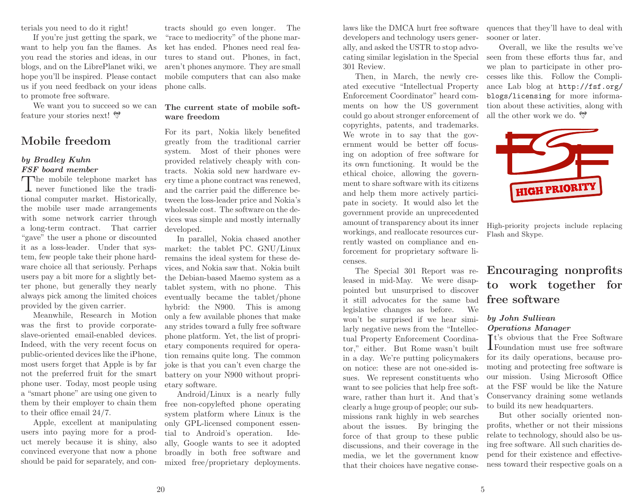terials you need to do it right!

If you're just getting the spark, we want to help you fan the flames. As you read the stories and ideas, in our blogs, and on the LibrePlanet wiki, we hope you'll be inspired. Please contact us if you need feedback on your ideasto promote free software.

We want you to succeed so we canfeature your stories next!

### Mobile freedom

### by Bradley KuhnFSF board member

The mobile telephone market has  $\perp$  never functioned like the traditional computer market. Historically, the mobile user made arrangements with some network carrier through <sup>a</sup> long-term contract. That carrier "gave" the user <sup>a</sup> <sup>p</sup>hone or discounted it as <sup>a</sup> loss-leader. Under that system, few people take their <sup>p</sup>hone hardware choice all that seriously. Perhaps users pay <sup>a</sup> bit more for <sup>a</sup> slightly better <sup>p</sup>hone, but generally they nearly always <sup>p</sup>ick among the limited choicesprovided by the <sup>g</sup>iven carrier.

Meanwhile, Research in Motion was the first to provide corporateslave-oriented email-enabled devices. Indeed, with the very recent focus on public-oriented devices like the iPhone, most users forget that Apple is by far not the preferred fruit for the smart <sup>p</sup>hone user. Today, most people using <sup>a</sup> "smart <sup>p</sup>hone" are using one <sup>g</sup>iven to them by their employer to chain themto their office email 24/7.

Apple, excellent at manipulating users into paying more for <sup>a</sup> product merely because it is shiny, also convinced everyone that now <sup>a</sup> <sup>p</sup>honeshould be paid for separately, and con-

tracts should go even longer. The "race to mediocrity" of the <sup>p</sup>hone mar ket has ended. Phones need real fea tures to stand out. Phones, in fact, aren't <sup>p</sup>hones anymore. They are small mobile computers that can also make<sup>p</sup>hone calls.

#### The current state of mobile soft ware freedom

 For its part, Nokia likely benefited greatly from the traditional carrier system. Most of their <sup>p</sup>hones were provided relatively cheaply with con tracts. Nokia sold new hardware ev ery time <sup>a</sup> <sup>p</sup>hone contract was renewed, and the carrier paid the difference be tween the loss-leader price and Nokia's wholesale cost. The software on the de vices was simple and mostly internallydeveloped.

 In parallel, Nokia chased another market: the tablet PC. GNU/Linux remains the ideal system for these de vices, and Nokia saw that. Nokia built the Debian-based Maemo system as <sup>a</sup> tablet system, with no <sup>p</sup>hone. This eventually became the tablet/phone hybrid: the N900. This is among only <sup>a</sup> few available <sup>p</sup>hones that make any strides toward <sup>a</sup> fully free software <sup>p</sup>hone <sup>p</sup>latform. Yet, the list of propri etary components required for opera tion remains quite long. The common joke is that you can't even charge the battery on your N900 without propri etary software.

Android/Linux is <sup>a</sup> nearly fully free non-copylefted <sup>p</sup>hone operating system <sup>p</sup>latform where Linux is the only GPL-licensed component essen tial to Android's operation. Ide ally, Google wants to see it adopted broadly in both free software andmixed free/proprietary deployments. laws like the DMCA hurt free software developers and technology users generally, and asked the USTR to stop advocating similar legislation in the Special <sup>301</sup> Review.

Then, in March, the newly created executive "Intellectual Property Enforcement Coordinator" heard comments on how the US government could go about stronger enforcement of copyrights, patents, and trademarks. We wrote in to say that the government would be better off focusing on adoption of free software for its own functioning. It would be the ethical choice, allowing the government to share software with its citizens and help them more actively participate in society. It would also let the government provide an unprecedented amount of transparency about its inner workings, and reallocate resources currently wasted on compliance and enforcement for proprietary software licenses.

 The Special <sup>301</sup> Report was released in mid-May. We were disappointed but unsurprised to discover it still advocates for the same badWe legislative changes as before. won't be surprised if we hear similarly negative news from the "Intellectual Property Enforcement Coordinator," either. But Rome wasn't built in <sup>a</sup> day. We're putting policymakers on notice: these are not one-sided issues. We represent constituents who want to see policies that help free software, rather than hurt it. And that's clearly <sup>a</sup> huge group of people; our submissions rank highly in web searches about the issues. By bringing the force of that group to these public discussions, and their coverage in the media, we let the government knowthat their choices have negative consequences that they'll have to deal withsooner or later.

Overall, we like the results we've seen from these efforts thus far, and we <sup>p</sup>lan to participate in other pro cesses like this. Follow the Compli ance Lab blog at http://fsf.org/ blogs/licensing for more informa tion about these activities, along withall the other work we do.



High-priority projects include replacingFlash and Skype.

# Encouraging nonprofits to work together forfree software

#### by John SullivanOperations Manager

**Tt's obvious that the Free Software I**Foundation must use free software for its daily operations, because promoting and protecting free software is our mission. Using Microsoft Office at the FSF would be like the Nature Conservancy draining some wetlandsto build its new headquarters.

But other socially oriented nonprofits, whether or not their missions relate to technology, should also be using free software. All such charities depend for their existence and effectiveness toward their respective goals on <sup>a</sup>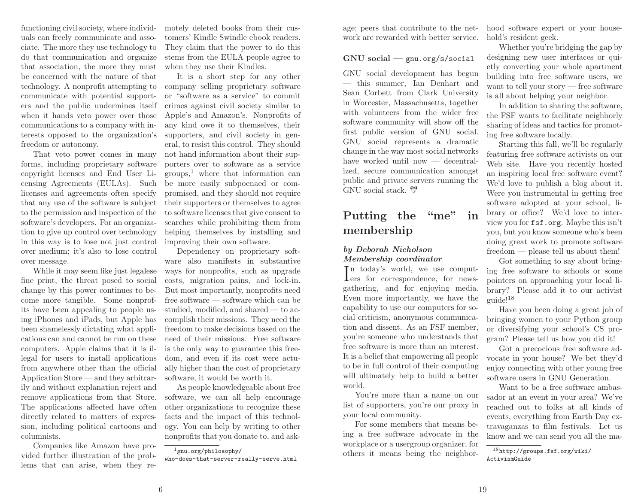functioning civil society, where individuals can freely communicate and associate. The more they use technology to do that communication and organize that association, the more they must be concerned with the nature of that technology. <sup>A</sup> nonprofit attempting to communicate with potential supporters and the public undermines itself when it hands veto power over those communications to <sup>a</sup> company with infreedom or autonomy.

That veto power comes in many forms, including proprietary software copyright licenses and End User Licensing Agreements (EULAs). Such licenses and agreements often specify that any use of the software is subject to the permission and inspection of the software's developers. For an organization to <sup>g</sup>ive up control over technology in this way is to lose not just control over medium; it's also to lose control over message.

While it may seem like just legalese fine print, the threat posed to social change by this power continues to become more tangible. Some nonprofits have been appealing to people using iPhones and iPads, but Apple has been shamelessly dictating what applications can and cannot be run on these computers. Apple claims that it is illegal for users to install applications from anywhere other than the official Application Store — and they arbitrarily and without explanation reject and remove applications from that Store. The applications affected have often directly related to matters of expression, including political cartoons andcolumnists.

Companies like Amazon have provided further illustration of the problems that can arise, when they remotely deleted books from their cus tomers' Kindle Swindle ebook readers. They claim that the power to do this stems from the EULA people agree towhen they use their Kindles.

terests opposed to the organization's supporters, and civil society in gen- It is <sup>a</sup> short step for any other company selling proprietary software or "software as <sup>a</sup> service" to commit crimes against civil society similar to Apple's and Amazon's. Nonprofits of any kind owe it to themselves, theireral, to resist this control. They should not hand information about their sup porters over to software as <sup>a</sup> service groups,1 where that information can be more easily subpoenaed or compromised, and they should not require their supporters or themselves to agree to software licenses that <sup>g</sup>ive consent to searches while prohibiting them from helping themselves by installing andimproving their own software.

> Dependency on proprietary software also manifests in substantive ways for nonprofits, such as upgrade costs, migration pains, and lock-in. But most importantly, nonprofits need free software — software which can be studied, modified, and shared — to accomplish their missions. They need the freedom to make decisions based on the need of their missions. Free software is the only way to guarantee this freedom, and even if its cost were actually higher than the cost of proprietarysoftware, it would be worth it.

> As people knowledgeable about free software, we can all help encourage other organizations to recognize these facts and the impact of this technology. You can help by writing to othernonprofits that you donate to, and ask-

age; peers that contribute to the net-hood software expert or your house work are rewarded with better service.

# GNU social — gnu.org/s/social

GNU social development has begun — this summer, Ian Denhart and Sean Corbett from Clark University in Worcester, Massachusetts, together with volunteers from the wider free software community will show off the first public version of GNU social. GNU social represents <sup>a</sup> dramatic change in the way most social networkshave worked until now — decentralized, secure communication amongst public and private servers running theGNU social stack.

# Putting the "me" inmembership

### by Deborah NicholsonMembership coordinator

In today's world, we use comput- $\mathbf{I}$ ers for correspondence, for newsgathering, and for enjoying media. Even more importantly, we have the capability to use our computers for social criticism, anonymous communication and dissent. As an FSF member, you're someone who understands that free software is more than an interest. It is <sup>a</sup> belief that empowering all people to be in full control of their computing will ultimately help to build <sup>a</sup> betterworld.

 You're more than <sup>a</sup> name on our list of supporters, you're our proxy inyour local community.

For some members that means being <sup>a</sup> free software advocate in the workplace or <sup>a</sup> usergroup organizer, forothers it means being the neighborhold's resident geek.

Whether you're bridging the gap by designing new user interfaces or qui etly converting your whole apartment building into free software users, we want to tell your story — free softwareis all about helping your neighbor.

In addition to sharing the software, the FSF wants to facilitate neighborly sharing of ideas and tactics for promot ing free software locally.

Starting this fall, we'll be regularly featuring free software activists on our Web site. Have you recently hosted an inspiring local free software event? We'd love to publish <sup>a</sup> blog about it. Were you instrumental in getting free software adopted at your school, li brary or office? We'd love to inter view you for fsf.org. Maybe this isn't you, but you know someone who's been doing great work to promote softwarefreedom — <sup>p</sup>lease tell us about them!

Got something to say about bring ing free software to schools or some pointers on approaching your local li brary? Please add it to our activistguide!<sup>18</sup>

Have you been doing <sup>a</sup> great job of bringing women to your Python group or diversifying your school's CS pro gram? Please tell us how you did it!

Got <sup>a</sup> precocious free software ad vocate in your house? We bet they'd enjoy connecting with other young freesoftware users in GNU Generation.

Want to be <sup>a</sup> free software ambas sador at an event in your area? We've reached out to folks at all kinds of events, everything from Earth Day ex travaganzas to film festivals. Let usknow and we can send you all the ma-

<sup>18</sup>http://groups.fsf.org/wiki/ActivismGuide

 $^1$ gnu.org/philosophy/

who-does-that-server-really-serve.html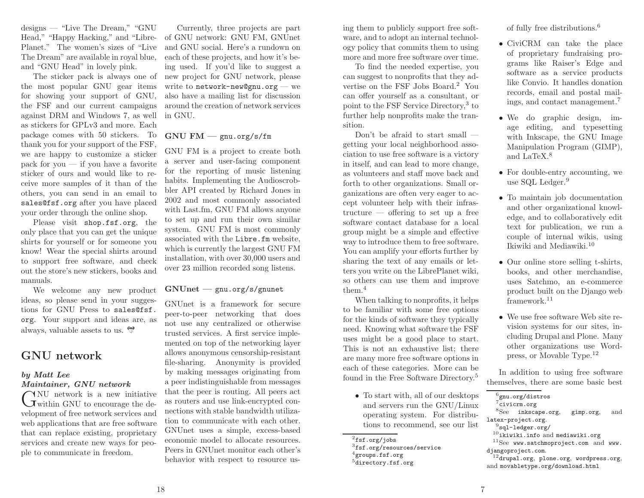designs — "Live The Dream," "GNU Head," "Happy Hacking," and "Libre-Planet." The women's sizes of "Live The Dream" are available in roya<sup>l</sup> blue, and "GNU Head" in lovely <sup>p</sup>ink.

The sticker pac<sup>k</sup> is always one of the most popular GNU gear items for showing your support of GNU, the FSF and our current campaigns against DRM and Windows 7, as well as stickers for GPLv3 and more. Each package comes with <sup>50</sup> stickers. To thank you for your support of the FSF, we are happy to customize <sup>a</sup> sticker pac<sup>k</sup> for you — if you have <sup>a</sup> favorite sticker of ours and would like to receive more samples of it than of the others, you can send in an email to sales@fsf.org after you have <sup>p</sup>lacedyour order through the online shop.

Please visit shop.fsf.org, the only <sup>p</sup>lace that you can get the unique shirts for yourself or for someone you know! Wear the special shirts around to support free software, and check out the store's new stickers, books andmanuals.

 We welcome any new product ideas, so <sup>p</sup>lease send in your suggestions for GNU Press to sales@fsf. org. Your support and ideas are, asalways, valuable assets to us.

### GNU network

### by Matt LeeMaintainer, GNU network

NU network is a new initiative  $\bigcup$  within GNU to encourage the development of free network services and web applications that are free software that can replace existing, proprietary services and create new ways for peo<sup>p</sup>le to communicate in freedom.

Currently, three projects are part of GNU network: GNU FM, GNUnet and GNU social. Here's <sup>a</sup> rundown on each of these projects, and how it's being used. If you'd like to suggest <sup>a</sup> new project for GNU network, <sup>p</sup>lease write to network-new@gnu.org — we also have <sup>a</sup> mailing list for discussion around the creation of network servicesin GNU.

# GNU FM — gnu.org/s/fm

GNU FM is <sup>a</sup> project to create both <sup>a</sup> server and user-facing component for the reporting of music listening habits. Implementing the Audioscrobbler API created by Richard Jones in <sup>2002</sup> and most commonly associated with Last.fm, GNU FM allows anyone to set up and run their own similar system. GNU FM is most commonly associated with the Libre.fm website, which is currently the largest GNU FM installation, with over 30,000 users andover <sup>23</sup> million recorded song listens.

# GNUnet — gnu.org/s/gnunet

GNUnet is <sup>a</sup> framework for secure peer-to-peer networking that does not use any centralized or otherwise trusted services. <sup>A</sup> first service implemented on top of the networking layer allows anonymous censorship-resistant file-sharing. Anonymity is provided by making messages originating from <sup>a</sup> peer indistinguishable from messages that the peer is routing. All peers act as routers and use link-encrypted connections with stable bandwidth utilization to communicate with each other. GNUnet uses <sup>a</sup> simple, excess-based economic model to allocate resources. Peers in GNUnet monitor each other'sbehavior with respect to resource using them to publicly support free software, and to adopt an internal technology policy that commits them to usingmore and more free software over time.

To find the needed expertise, you can suggest to nonprofits that they advertise on the FSF Jobs Board. 2 You can offer yourself as <sup>a</sup> consultant, or point to the FSF Service Directory, 3 to further help nonprofits make the transition.

 Don't be afraid to start small getting your local neighborhood association to use free software is <sup>a</sup> victory in itself, and can lead to more change, as volunteers and staff move back and forth to other organizations. Small organizations are often very eager to accept volunteer help with their infrastructure — offering to set up <sup>a</sup> free software contact database for <sup>a</sup> local group might be <sup>a</sup> simple and effective way to introduce them to free software. You can amplify your efforts further by sharing the text of any emails or letters you write on the LibrePlanet wiki, so others can use them and improve $_{\rm them.4}$ 

 When talking to nonprofits, it helps to be familiar with some free options for the kinds of software they typically need. Knowing what software the FSF uses might be <sup>a</sup> good <sup>p</sup>lace to start. This is not an exhaustive list; there are many more free software options in each of these categories. More can befound in the Free Software Directory.<sup>5</sup>

• To start with, all of our desktops and servers run the GNU/Linux operating system. For distributions to recommend, see our list

of fully free distributions. 6

- CiviCRM can take the <sup>p</sup>lace of proprietary fundraising programs like Raiser's Edge and software as <sup>a</sup> service products like Convio. It handles donation records, email and postal mailings, and contact management. 7
- We do graphic design, image editing, and typesetting with Inkscape, the GNU Image Manipulation Program (GIMP), and LaTeX. 8
- For double-entry accounting, we use SQL Ledger. 9
- To maintain job documentation and other organizational knowledge, and to collaboratively edit text for publication, we run <sup>a</sup> couple of internal wikis, usingIkiwiki and Mediawiki.<sup>10</sup>
- Our online store selling t-shirts, books, and other merchandise, uses Satchmo, an e-commerce product built on the Django webframework.<sup>11</sup>
- We use free software Web site revision systems for our sites, including Drupal and Plone. Many other organizations use Wordpress, or Movable Type.<sup>12</sup>

In addition to using free softwarethemselves, there are some basic best

<sup>8</sup>See inkscape.org, gimp.org, and latex-project.org.

- $^{10}$ ikiwiki.info and mediawiki.org
- $^{11}$ See www.satchmoproject.com and www. djangoproject.com.
- $^{12}$ drupal.org, plone.org, wordpress.org, and movabletype.org/download.html

 $^{2}$ fsf.org/jobs

 $^3$ fsf.org/resources/service

 $4$ groups.fsf.org

 $^5$ directory.fsf.org

 $^6$ gnu.org/distros <sup>7</sup>civicrm.org

 $^9$ sql-ledger.org/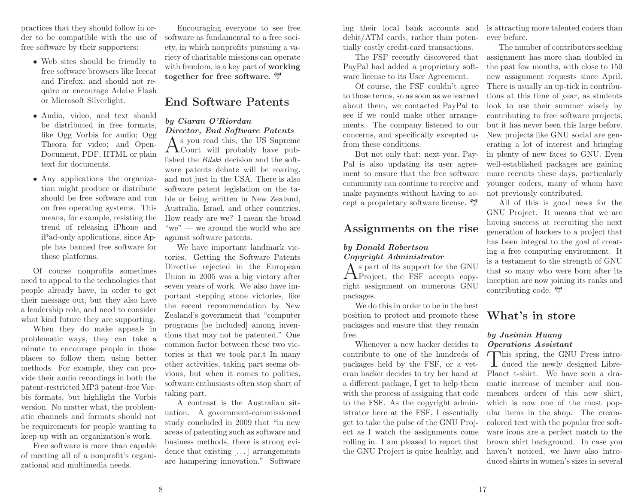practices that they should follow in order to be compatible with the use of free software by their supporters:

- Web sites should be friendly to free software browsers like Icecat and Firefox, and should not require or encourage Adobe Flashor Microsoft Silverlight.
- Audio, video, and text should be distributed in free formats, like Ogg Vorbis for audio; Ogg Theora for video; and Open-Document, PDF, HTML or <sup>p</sup>laintext for documents.
- Any applications the organization might produce or distribute should be free software and run on free operating systems. This means, for example, resisting the trend of releasing iPhone and iPad-only applications, since Ap<sup>p</sup>le has banned free software forthose <sup>p</sup>latforms.

Of course nonprofits sometimes need to appea<sup>l</sup> to the technologies that people already have, in order to get their message out, but they also have <sup>a</sup> leadership role, and need to considerwhat kind future they are supporting.

When they do make appeals in problematic ways, they can take <sup>a</sup> minute to encourage people in those <sup>p</sup>laces to follow them using better methods. For example, they can provide their audio recordings in both the patent-restricted MP3 patent-free Vorbis formats, but highlight the Vorbis version. No matter what, the problematic channels and formats should not be requirements for people wanting tokeep up with an organization's work.

Free software is more than capable of meeting all of <sup>a</sup> nonprofit's organizational and multimedia needs.

Encouraging everyone to see free software as fundamental to <sup>a</sup> free society, in which nonprofits pursuing <sup>a</sup> variety of charitable missions can operatewith freedom, is a key part of **working** together for free software.

### End Software Patents

### by Ciaran O'RiordanDirector, End Software Patents

 $A<sup>s</sup>$  you read this, the US Supreme<br>Court will probably have published the *Bilski* decision and the software patents debate will be roaring, and not just in the USA. There is also software patent legislation on the table or being written in New Zealand, Australia, Israel, and other countries. How ready are we? <sup>I</sup> mean the broad "we" — we around the world who areagainst software patents.

We have important landmark victories. Getting the Software Patents Directive rejected in the European Union in <sup>2005</sup> was <sup>a</sup> big victory after seven years of work. We also have important stepping stone victories, like the recent recommendation by New Zealand's government that "computer programs [be included] among inventions that may not be patented." One common factor between these two victories is that we took par.t In many other activities, taking part seems obvious, but when it comes to politics, software enthusiasts often stop short of taking part.

<sup>A</sup> contrast is the Australian situation. <sup>A</sup> government-commissioned study concluded in <sup>2009</sup> that "in new areas of patenting such as software and business methods, there is strong evidence that existing [...] arrangements are hampering innovation." Software

ing their local bank accounts and debit/ATM cards, rather than potentially costly credit-card transactions.

The FSF recently discovered that PayPal had added <sup>a</sup> proprietary software license to its User Agreement.

Of course, the FSF couldn't agree to those terms, so as soon as we learned about them, we contacted PayPal to see if we could make other arrangements. The company listened to our concerns, and specifically excepted usfrom these conditions.

But not only that: next year, Pay-Pal is also updating its user agreement to ensure that the free software community can continue to receive and make payments without having to accept <sup>a</sup> proprietary software license.

### Assignments on the rise

### by Donald RobertsonCopyright Administrator

s part of its support for the GNU  $A<sup>s</sup>$  part of its support for the GNU<br>Project, the FSF accepts copyright assignment on numerous GNUpackages.

 We do this in order to be in the best position to protect and promote these packages and ensure that they remainfree.

 Whenever <sup>a</sup> new hacker decides to contribute to one of the hundreds of packages held by the FSF, or <sup>a</sup> veteran hacker decides to try her hand at <sup>a</sup> different package, <sup>I</sup> get to help them with the process of assigning that code to the FSF. As the copyright administrator here at the FSF, <sup>I</sup> essentially get to take the pulse of the GNU Project as <sup>I</sup> watch the assignments come rolling in. <sup>I</sup> am <sup>p</sup>leased to report thatthe GNU Project is quite healthy, and

is attracting more talented coders thanever before.

The number of contributors seeking assignment has more than doubled in the past few months, with close to <sup>150</sup> new assignment requests since April. There is usually an up-tick in contributions at this time of year, as students look to use their summer wisely by contributing to free software projects, but it has never been this large before. New projects like GNU social are generating <sup>a</sup> lot of interest and bringing in <sup>p</sup>lenty of new faces to GNU. Even well-established packages are gaining more recruits these days, particularly younger coders, many of whom havenot previously contributed.

All of this is good news for the GNU Project. It means that we are having success at recruiting the next generation of hackers to <sup>a</sup> project that has been integral to the goa<sup>l</sup> of creating <sup>a</sup> free computing environment. It is <sup>a</sup> testament to the strength of GNU that so many who were born after its inception are now joining its ranks andcontributing code.

### What's in store

### by Jasimin HuangOperations Assistant

This spring, the GNU Press intro-<br>duced the newly designed Libre-Planet t-shirt. We have seen <sup>a</sup> dramatic increase of member and nonmembers orders of this new shirt, which is now one of the most popular items in the shop. The creamcolored text with the popular free software icons are <sup>a</sup> perfect match to the brown shirt background. In case you haven't noticed, we have also introduced shirts in women's sizes in several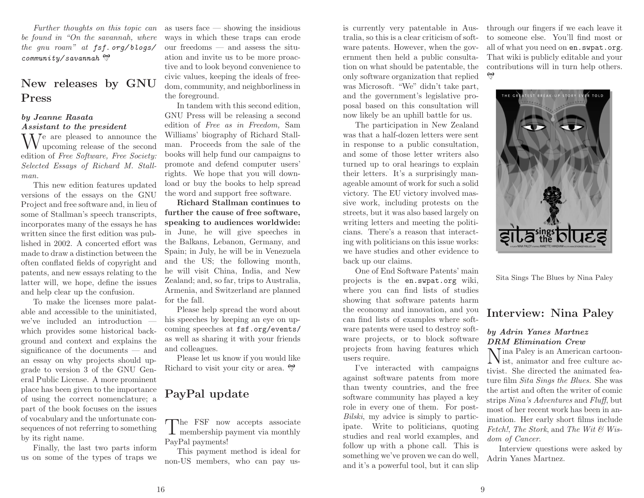*Further thoughts on this topic can be found in "On the savannah, where the gnu roam" at* fsf. org/ blogs/ community/savannah

### New releases by GNUPress

### by Jeanne RasataAssistant to the president

 $\rm W^{e}$  are pleased to announce the upcoming release of the second edition of *Free Software, Free Society: Selected Essays of Richard M. Stallman.*

 This new edition features updated versions of the essays on the GNU Project and free software and, in lieu of some of Stallman's speec<sup>h</sup> transcripts, incorporates many of the essays he has written since the first edition was published in 2002. <sup>A</sup> concerted effort was made to draw <sup>a</sup> distinction between the often conflated fields of copyright and patents, and new essays relating to the latter will, we hope, define the issuesand help clear up the confusion.

To make the licenses more palatable and accessible to the uninitiated, we've included an introduction which provides some historical background and context and explains the significance of the documents — and an essay on why projects should upgrade to version <sup>3</sup> of the GNU General Public License. <sup>A</sup> more prominent <sup>p</sup>lace has been <sup>g</sup>iven to the importance of using the correct nomenclature; <sup>a</sup> part of the book focuses on the issues of vocabulary and the unfortunate consequences of not referring to somethingby its right name.

Finally, the last two parts informus on some of the types of traps we as users face — showing the insidious ways in which these traps can erode our freedoms — and assess the situation and invite us to be more proactive and to look beyond convenience to civic values, keeping the ideals of freedom, community, and neighborliness inthe foreground.

In tandem with this second edition, GNU Press will be releasing <sup>a</sup> second edition of *Free as in Freedom,* Sam Williams' biography of Richard Stallman. Proceeds from the sale of the books will help fund our campaigns to promote and defend computer users' rights. We hope that you will download or buy the books to help spreadthe word and support free software.

Richard Stallman continues to further the cause of free software, speaking to audiences worldwide: in June, he will <sup>g</sup>ive speeches in the Balkans, Lebanon, Germany, and Spain; in July, he will be in Venezuela and the US; the following month, he will visit China, India, and New Zealand; and, so far, trips to Australia, Armenia, and Switzerland are <sup>p</sup>lannedfor the fall.

Please help spread the word about his speeches by keeping an eye on upcoming speeches at fsf.org/events/ as well as sharing it with your friendsand colleagues.

Please let us know if you would likeRichard to visit your city or area.

# PayPal update

The FSF now accepts associate<br>membership payment via monthly PayPal payments!

This payment method is ideal fornon-US members, who can pay us-

is currently very patentable in Australia, so this is <sup>a</sup> clear criticism of software patents. However, when the government then held <sup>a</sup> public consultation on what should be patentable, the only software organization that replied was Microsoft. "We" didn't take part, and the government's legislative proposa<sup>l</sup> based on this consultation will now likely be an uphill battle for us.

The participation in New Zealand was that <sup>a</sup> half-dozen letters were sent in response to <sup>a</sup> public consultation, and some of those letter writers also turned up to oral hearings to explain their letters. It's <sup>a</sup> surprisingly manageable amount of work for such <sup>a</sup> solid victory. The EU victory involved massive work, including protests on the streets, but it was also based largely on writing letters and meeting the politicians. There's <sup>a</sup> reason that interacting with politicians on this issue works: we have studies and other evidence toback up our claims.

One of End Software Patents' main projects is the en.swpat.org wiki, where you can find lists of studies showing that software patents harm the economy and innovation, and you can find lists of examples where software patents were used to destroy software projects, or to block software projects from having features whichusers require.

I've interacted with campaigns against software patents from more than twenty countries, and the free software community has <sup>p</sup>layed <sup>a</sup> key role in every one of them. For post-*Bilski*, my advice is simply to participate. Write to politicians, quoting studies and real world examples, and follow up with <sup>a</sup> <sup>p</sup>hone call. This is something we've proven we can do well, and it's <sup>a</sup> powerful tool, but it can slip

through our fingers if we each leave it to someone else. You'll find most or all of what you need on en.swpat.org. That wiki is publicly editable and yourcontributions will in turn help others.



Sita Sings The Blues by Nina Paley

### Interview: Nina Paley

### by Adrin Yanes MartnezDRM Elimination Crew

N Tina Paley is an American cartoon- $N_{\text{ist, animator and free culture ac-}}$ tivist. She directed the animated feature film *Sita Sings the Blues*. She was the artist and often the writer of comic strips *Nina's Adventures* and *Fluff*, but most of her recent work has been in animation. Her early short films include *Fetch!*, *The Stork*, and *The Wit & Wisdom of Cancer*.

Interview questions were asked byAdrin Yanes Martnez.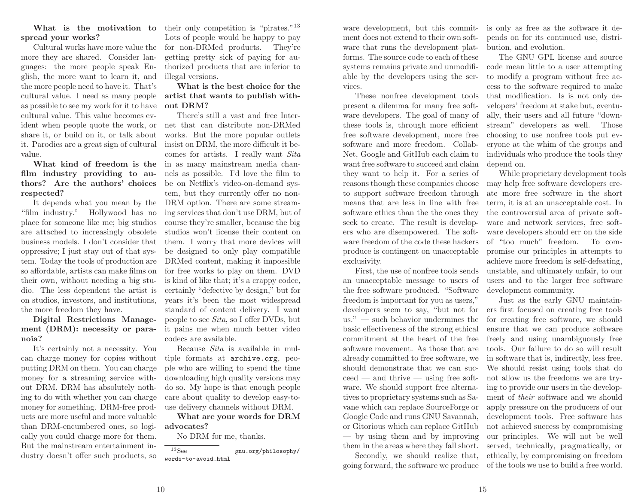# spread your works?

 Cultural works have more value the more they are shared. Consider languages: the more people spea<sup>k</sup> En<sup>g</sup>lish, the more want to learn it, and the more people need to have it. That's cultural value. <sup>I</sup> need as many people as possible to see my work for it to have cultural value. This value becomes evident when people quote the work, or share it, or build on it, or talk about it. Parodies are <sup>a</sup> great sign of cultural value.

 What kind of freedom is the film industry providing to authors? Are the authors' choicesrespected?

 "film industry." Hollywood has no <sup>p</sup>lace for someone like me; big studios are attached to increasingly obsolete business models. <sup>I</sup> don't consider that oppressive; <sup>I</sup> just stay out of that system. Today the tools of production are so affordable, artists can make films on their own, without needing <sup>a</sup> big studio. The less dependent the artist is on studios, investors, and institutions, the more freedom they have.

Digital Restrictions Management (DRM): necessity or paranoia?

 It's certainly not <sup>a</sup> necessity. You can charge money for copies without putting DRM on them. You can charge money for <sup>a</sup> streaming service without DRM. DRM has absolutely nothing to do with whether you can charge money for something. DRM-free products are more useful and more valuable than DRM-encumbered ones, so logically you could charge more for them. But the mainstream entertainment industry doesn't offer such products, so

What is the motivation to their only competition is "pirates."<sup>13</sup> Lots of people would be happy to pay for non-DRMed products. They're getting pretty sick of paying for authorized products that are inferior toillegal versions.

> What is the best choice for the artist that wants to publish without DRM?

It depends what you mean by the DRM option. There are some stream- There's still <sup>a</sup> vast and free Internet that can distribute non-DRMed works. But the more popular outlets insist on DRM, the more difficult it becomes for artists. <sup>I</sup> really want *Sita* in as many mainstream media channels as possible. I'd love the film to be on Netflix's video-on-demand system, but they currently offer no noning services that don't use DRM, but of course they're smaller, because the big studios won't license their content on them. <sup>I</sup> worry that more devices will be designed to only <sup>p</sup>lay compatible DRMed content, making it impossible for free works to <sup>p</sup>lay on them. DVD is kind of like that; it's <sup>a</sup> crappy codec, certainly "defective by design," but for years it's been the most widespread standard of content delivery. <sup>I</sup> want people to see *Sita*, so <sup>I</sup> offer DVDs, but it pains me when much better videocodecs are available.

> Because *Sita* is available in multiple formats at archive.org, peo<sup>p</sup>le who are willing to spend the time downloading high quality versions may do so. My hope is that enoug<sup>h</sup> people care about quality to develop easy-touse delivery channels without DRM.

What are your words for DRMadvocates?

No DRM for me, thanks.

 $13$ See gnu.org/philosophy/words-to-avoid.html

ware development, but this commitment does not extend to their own software that runs the development <sup>p</sup>latforms. The source code to each of these systems remains private and unmodifiable by the developers using the services.

These nonfree development tools present <sup>a</sup> dilemma for many free software developers. The goa<sup>l</sup> of many of these tools is, through more efficient free software development, more free software and more freedom. Collab-Net, Google and GitHub each claim to want free software to succeed and claim they want to help it. For <sup>a</sup> series of reasons though these companies choose to support software freedom through means that are less in line with free software ethics than the the ones they seek to create. The result is developers who are disempowered. The software freedom of the code these hackers produce is contingent on unacceptableexclusivity.

First, the use of nonfree tools sends an unacceptable message to users of the free software produced. "Software freedom is important for you as users," developers seem to say, "but not for us." — such behavior undermines the basic effectiveness of the strong ethical commitment at the heart of the free software movement. As those that are already committed to free software, we should demonstrate that we can suc- $\text{ceed}$  — and thrive — using free software. We should support free alternatives to proprietary systems such as Savane which can replace SourceForge or Google Code and runs GNU Savannah, or Gitorious which can replace GitHub — by using them and by improvingthem in the areas where they fall short.

Secondly, we should realize that, going forward, the software we produce

is only as free as the software it depends on for its continued use, distribution, and evolution.

The GNU GPL license and source code mean little to <sup>a</sup> user attempting to modify <sup>a</sup> program without free access to the software required to make that modification. Is is not only developers' freedom at stake but, eventually, their users and all future "downstream" developers as well. Those choosing to use nonfree tools put everyone at the whim of the groups and individuals who produce the tools theydepend on.

While proprietary development toolsmay help free software developers create more free software in the short term, it is at an unacceptable cost. In the controversial area of private software and network services, free software developers should err on the side of "too much" freedom. To compromise our principles in attempts to achieve more freedom is self-defeating, unstable, and ultimately unfair, to our users and to the larger free softwaredevelopment community.

Just as the early GNU maintainers first focused on creating free tools for creating free software, we should ensure that we can produce software freely and using unambiguously free tools. Our failure to do so will result in software that is, indirectly, less free. We should resist using tools that do not allow us the freedoms we are trying to provide our users in the development of *their* software and we should apply pressure on the producers of our development tools. Free software has not achieved success by compromising our principles. We will not be well served, technically, pragmatically, or ethically, by compromising on freedomof the tools we use to build <sup>a</sup> free world.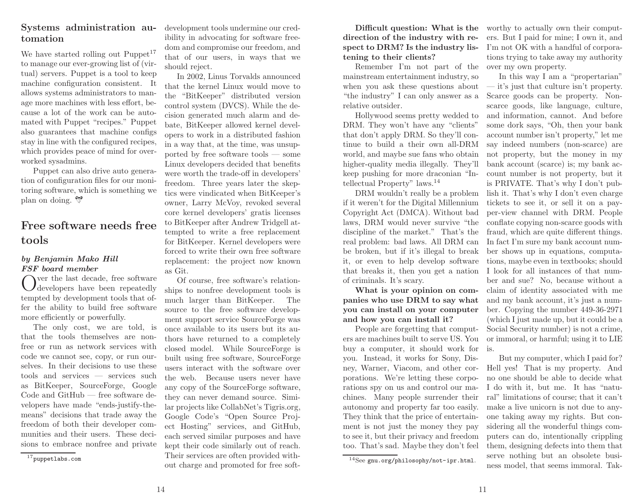### Systems administration automation

We have started rolling out Puppet<sup>17</sup> to manage our ever-growing list of (virtual) servers. Puppet is <sup>a</sup> tool to keep machine configuration consistent. It allows systems administrators to manage more machines with less effort, because <sup>a</sup> lot of the work can be automated with Puppet "recipes." Puppet also guarantees that machine configs stay in line with the configured recipes, which provides peace of mind for overworked sysadmins.

Puppet can also drive auto generation of configuration files for our monitoring software, which is something we<sup>p</sup>lan on doing.

### Free software needs freetools

#### by Benjamin Mako Hill FSF board member

ver the last decade, free software  $\bigcup$  developers have been repeatedly tempted by development tools that offer the ability to build free softwaremore efficiently or powerfully.

The only cost, we are told, is that the tools themselves are nonfree or run as network services with code we cannot see, copy, or run ourselves. In their decisions to use these tools and services — services such as BitKeeper, SourceForge, Google Code and GitHub — free software developers have made "ends-justify-themeans" decisions that trade away the freedom of both their developer communities and their users. These decisions to embrace nonfree and private

development tools undermine our credibility in advocating for software freedom and compromise our freedom, and that of our users, in ways that weshould reject.

In 2002, Linus Torvalds announced that the kernel Linux would move to the "BitKeeper" distributed version control system (DVCS). While the decision generated much alarm and debate, BitKeeper allowed kernel developers to work in <sup>a</sup> distributed fashion in <sup>a</sup> way that, at the time, was unsupported by free software tools — some Linux developers decided that benefits were worth the trade-off in developers' freedom. Three years later the skeptics were vindicated when BitKeeper's owner, Larry McVoy, revoked several core kernel developers' gratis licenses to BitKeeper after Andrew Tridgell attempted to write <sup>a</sup> free replacement for BitKeeper. Kernel developers were forced to write their own free software replacement: the project now knownas Git.

Of course, free software's relationships to nonfree development tools isThe much larger than BitKeeper. source to the free software development support service SourceForge was once available to its users but its authors have returned to <sup>a</sup> completely closed model. While SourceForge is built using free software, SourceForge users interact with the software over the web. Because users never have any copy of the SourceForge software, they can never demand source. Similar projects like CollabNet's Tigris.org, Google Code's "Open Source Project Hosting" services, and GitHub, each served similar purposes and have kept their code similarly out of reach. Their services are often provided without charge and promoted for free soft-

Difficult question: What is the direction of the industry with respect to DRM? Is the industry listening to their clients?

Remember I'm not part of the over my own property. mainstream entertainment industry, so when you ask these questions about "the industry" <sup>I</sup> can only answer as <sup>a</sup>relative outsider.

Hollywood seems pretty wedded to DRM. They won't have any "clients" that don't apply DRM. So they'll continue to build <sup>a</sup> their own all-DRM world, and maybe sue fans who obtain higher-quality media illegally. They'll keep pushing for more draconian "Intellectual Property" laws.<sup>14</sup>

DRM wouldn't really be <sup>a</sup> problem if it weren't for the Digital Millennium Copyright Act (DMCA). Without bad laws, DRM would never survive "the discipline of the market." That's the real problem: bad laws. All DRM can be broken, but if it's illegal to break it, or even to help develop software that breaks it, then you get <sup>a</sup> nationof criminals. It's scary.

What is your opinion on companies who use DRM to say what you can install on your computerand how you can install it?

 People are forgetting that computers are machines built to serve US. Youbuy a computer, it should work for is. you. Instead, it works for Sony, Disporations. We're letting these corporations spy on us and control our machines. Many people surrender their autonomy and property far too easily. They think that the price of entertainment is not just the money they pay to see it, but their privacy and freedomtoo. That's sad. Maybe they don't feel

worthy to actually own their computers. But <sup>I</sup> paid for mine; <sup>I</sup> own it, and I'm not OK with <sup>a</sup> handful of corporations trying to take away my authority

In this way <sup>I</sup> am <sup>a</sup> "propertarian" — it's just that culture isn't property. Scarce goods can be property. Nonscarce goods, like language, culture, and information, cannot. And before some dork says, "Oh, then your bank account number isn't property," let me say indeed numbers (non-scarce) are not property, but the money in my bank account (scarce) is; my bank account number is not property, but it is PRIVATE. That's why <sup>I</sup> don't publish it. That's why <sup>I</sup> don't even charge tickets to see it, or sell it on <sup>a</sup> payper-view channel with DRM. People conflate copying non-scarce goods with fraud, which are quite different things. In fact I'm sure my bank account number shows up in equations, computations, maybe even in textbooks; should <sup>I</sup> look for all instances of that number and sue? No, because without <sup>a</sup> claim of identity associated with me and my bank account, it's just <sup>a</sup> number. Copying the number 449-36-2971 (which <sup>I</sup> just made up, but it could be <sup>a</sup> Social Security number) is not <sup>a</sup> crime, or immoral, or harmful; using it to LIE

ney, Warner, Viacom, and other cor- Hell yes! That is my property. AndBut my computer, which <sup>I</sup> paid for? no one should be able to decide what <sup>I</sup> do with it, but me. It has "natural" limitations of course; that it can't make <sup>a</sup> live unicorn is not due to anyone taking away my rights. But considering all the wonderful things computers can do, intentionally crippling them, designing defects into them that serve nothing but an obsolete business model, that seems immoral. Tak-

<sup>17</sup>puppetlabs.com

 $^{14}$ See gnu.org/philosophy/not-ipr.html.